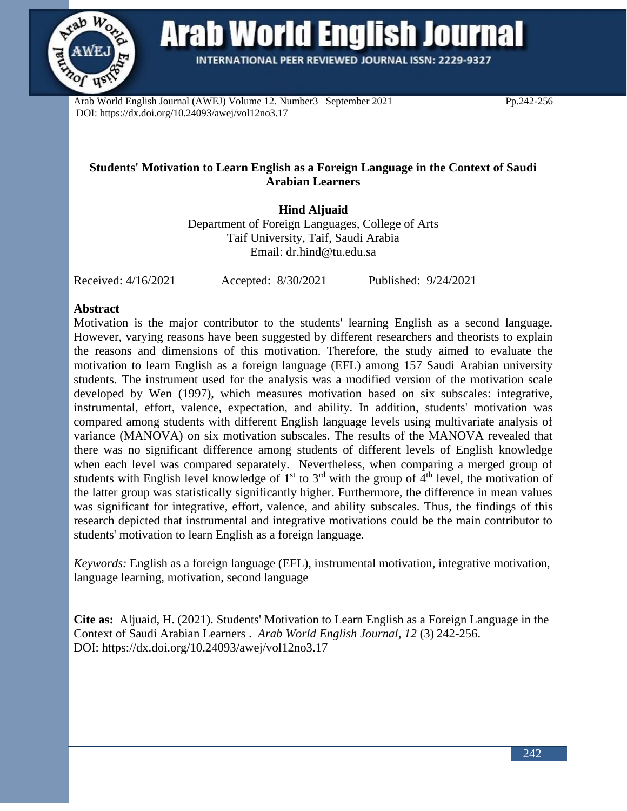

**Arab World English Journal** 

INTERNATIONAL PEER REVIEWED JOURNAL ISSN: 2229-9327

Arab World English Journal (AWEJ) Volume 12. Number3 September 2021 Pp.242-256 DOI: https://dx.doi.org/10.24093/awej/vol12no3.17

# **Students' Motivation to Learn English as a Foreign Language in the Context of Saudi Arabian Learners**

**Hind Aljuaid** Department of Foreign Languages, College of Arts Taif University, Taif, Saudi Arabia

Email: [dr.hind@tu.edu.sa](mailto:dr.hind@tu.edu.sa)

Received: 4/16/2021 Accepted: 8/30/2021 Published: 9/24/2021

### **Abstract**

Motivation is the major contributor to the students' learning English as a second language. However, varying reasons have been suggested by different researchers and theorists to explain the reasons and dimensions of this motivation. Therefore, the study aimed to evaluate the motivation to learn English as a foreign language (EFL) among 157 Saudi Arabian university students. The instrument used for the analysis was a modified version of the motivation scale developed by Wen (1997), which measures motivation based on six subscales: integrative, instrumental, effort, valence, expectation, and ability. In addition, students' motivation was compared among students with different English language levels using multivariate analysis of variance (MANOVA) on six motivation subscales. The results of the MANOVA revealed that there was no significant difference among students of different levels of English knowledge when each level was compared separately. Nevertheless, when comparing a merged group of students with English level knowledge of  $1<sup>st</sup>$  to  $3<sup>rd</sup>$  with the group of  $4<sup>th</sup>$  level, the motivation of the latter group was statistically significantly higher. Furthermore, the difference in mean values was significant for integrative, effort, valence, and ability subscales. Thus, the findings of this research depicted that instrumental and integrative motivations could be the main contributor to students' motivation to learn English as a foreign language.

*Keywords:* English as a foreign language (EFL), instrumental motivation, integrative motivation, language learning, motivation, second language

**Cite as:** Aljuaid, H. (2021). Students' Motivation to Learn English as a Foreign Language in the Context of Saudi Arabian Learners . *Arab World English Journal, 12* (3) 242-256. DOI: https://dx.doi.org/10.24093/awej/vol12no3.17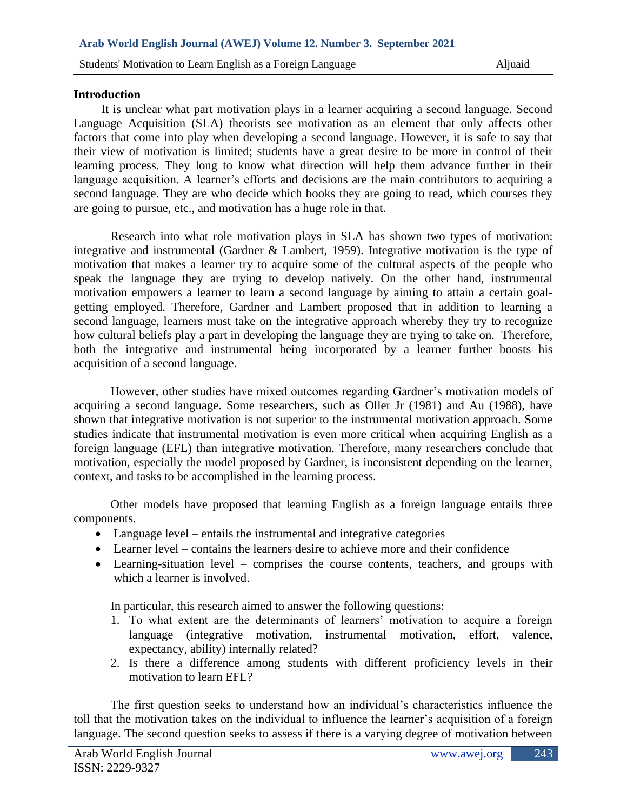#### **Introduction**

 It is unclear what part motivation plays in a learner acquiring a second language. Second Language Acquisition (SLA) theorists see motivation as an element that only affects other factors that come into play when developing a second language. However, it is safe to say that their view of motivation is limited; students have a great desire to be more in control of their learning process. They long to know what direction will help them advance further in their language acquisition. A learner's efforts and decisions are the main contributors to acquiring a second language. They are who decide which books they are going to read, which courses they are going to pursue, etc., and motivation has a huge role in that.

Research into what role motivation plays in SLA has shown two types of motivation: integrative and instrumental (Gardner & Lambert, 1959). Integrative motivation is the type of motivation that makes a learner try to acquire some of the cultural aspects of the people who speak the language they are trying to develop natively. On the other hand, instrumental motivation empowers a learner to learn a second language by aiming to attain a certain goalgetting employed. Therefore, Gardner and Lambert proposed that in addition to learning a second language, learners must take on the integrative approach whereby they try to recognize how cultural beliefs play a part in developing the language they are trying to take on. Therefore, both the integrative and instrumental being incorporated by a learner further boosts his acquisition of a second language.

However, other studies have mixed outcomes regarding Gardner's motivation models of acquiring a second language. Some researchers, such as Oller Jr (1981) and Au (1988), have shown that integrative motivation is not superior to the instrumental motivation approach. Some studies indicate that instrumental motivation is even more critical when acquiring English as a foreign language (EFL) than integrative motivation. Therefore, many researchers conclude that motivation, especially the model proposed by Gardner, is inconsistent depending on the learner, context, and tasks to be accomplished in the learning process.

Other models have proposed that learning English as a foreign language entails three components.

- Language level entails the instrumental and integrative categories
- Learner level contains the learners desire to achieve more and their confidence
- Learning-situation level comprises the course contents, teachers, and groups with which a learner is involved.

In particular, this research aimed to answer the following questions:

- 1. To what extent are the determinants of learners' motivation to acquire a foreign language (integrative motivation, instrumental motivation, effort, valence, expectancy, ability) internally related?
- 2. Is there a difference among students with different proficiency levels in their motivation to learn EFL?

The first question seeks to understand how an individual's characteristics influence the toll that the motivation takes on the individual to influence the learner's acquisition of a foreign language. The second question seeks to assess if there is a varying degree of motivation between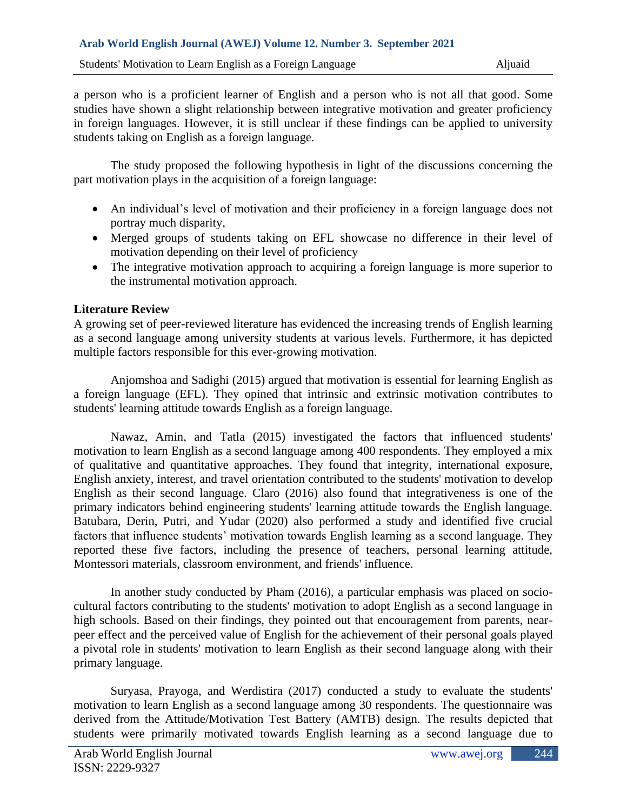a person who is a proficient learner of English and a person who is not all that good. Some studies have shown a slight relationship between integrative motivation and greater proficiency in foreign languages. However, it is still unclear if these findings can be applied to university students taking on English as a foreign language.

The study proposed the following hypothesis in light of the discussions concerning the part motivation plays in the acquisition of a foreign language:

- An individual's level of motivation and their proficiency in a foreign language does not portray much disparity,
- Merged groups of students taking on EFL showcase no difference in their level of motivation depending on their level of proficiency
- The integrative motivation approach to acquiring a foreign language is more superior to the instrumental motivation approach.

# **Literature Review**

A growing set of peer-reviewed literature has evidenced the increasing trends of English learning as a second language among university students at various levels. Furthermore, it has depicted multiple factors responsible for this ever-growing motivation.

Anjomshoa and Sadighi (2015) argued that motivation is essential for learning English as a foreign language (EFL). They opined that intrinsic and extrinsic motivation contributes to students' learning attitude towards English as a foreign language.

Nawaz, Amin, and Tatla (2015) investigated the factors that influenced students' motivation to learn English as a second language among 400 respondents. They employed a mix of qualitative and quantitative approaches. They found that integrity, international exposure, English anxiety, interest, and travel orientation contributed to the students' motivation to develop English as their second language. Claro (2016) also found that integrativeness is one of the primary indicators behind engineering students' learning attitude towards the English language. Batubara, Derin, Putri, and Yudar (2020) also performed a study and identified five crucial factors that influence students' motivation towards English learning as a second language. They reported these five factors, including the presence of teachers, personal learning attitude, Montessori materials, classroom environment, and friends' influence.

In another study conducted by Pham (2016), a particular emphasis was placed on sociocultural factors contributing to the students' motivation to adopt English as a second language in high schools. Based on their findings, they pointed out that encouragement from parents, nearpeer effect and the perceived value of English for the achievement of their personal goals played a pivotal role in students' motivation to learn English as their second language along with their primary language.

Suryasa, Prayoga, and Werdistira (2017) conducted a study to evaluate the students' motivation to learn English as a second language among 30 respondents. The questionnaire was derived from the Attitude/Motivation Test Battery (AMTB) design. The results depicted that students were primarily motivated towards English learning as a second language due to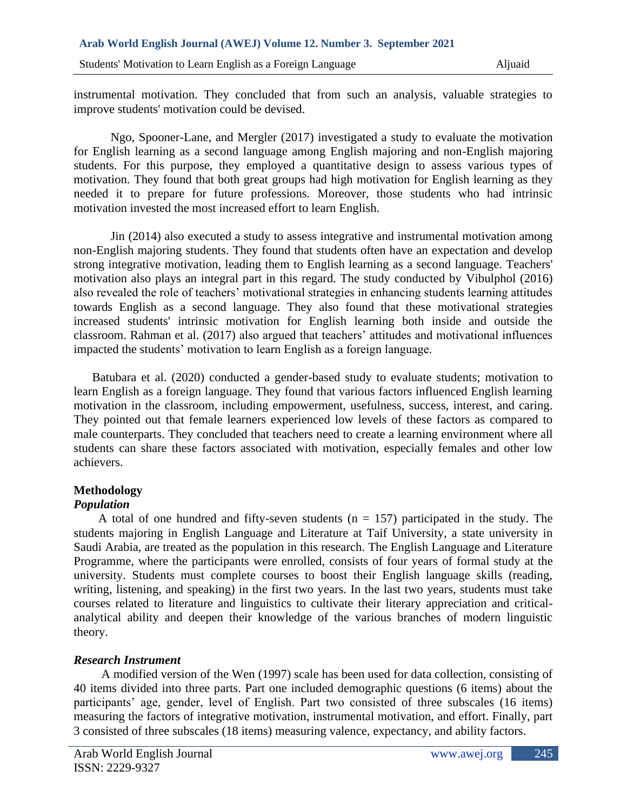instrumental motivation. They concluded that from such an analysis, valuable strategies to improve students' motivation could be devised.

Ngo, Spooner-Lane, and Mergler (2017) investigated a study to evaluate the motivation for English learning as a second language among English majoring and non-English majoring students. For this purpose, they employed a quantitative design to assess various types of motivation. They found that both great groups had high motivation for English learning as they needed it to prepare for future professions. Moreover, those students who had intrinsic motivation invested the most increased effort to learn English.

Jin (2014) also executed a study to assess integrative and instrumental motivation among non-English majoring students. They found that students often have an expectation and develop strong integrative motivation, leading them to English learning as a second language. Teachers' motivation also plays an integral part in this regard. The study conducted by Vibulphol (2016) also revealed the role of teachers' motivational strategies in enhancing students learning attitudes towards English as a second language. They also found that these motivational strategies increased students' intrinsic motivation for English learning both inside and outside the classroom. Rahman et al. (2017) also argued that teachers' attitudes and motivational influences impacted the students' motivation to learn English as a foreign language.

Batubara et al. (2020) conducted a gender-based study to evaluate students; motivation to learn English as a foreign language. They found that various factors influenced English learning motivation in the classroom, including empowerment, usefulness, success, interest, and caring. They pointed out that female learners experienced low levels of these factors as compared to male counterparts. They concluded that teachers need to create a learning environment where all students can share these factors associated with motivation, especially females and other low achievers.

# **Methodology**

# *Population*

A total of one hundred and fifty-seven students  $(n = 157)$  participated in the study. The students majoring in English Language and Literature at Taif University, a state university in Saudi Arabia, are treated as the population in this research. The English Language and Literature Programme, where the participants were enrolled, consists of four years of formal study at the university. Students must complete courses to boost their English language skills (reading, writing, listening, and speaking) in the first two years. In the last two years, students must take courses related to literature and linguistics to cultivate their literary appreciation and criticalanalytical ability and deepen their knowledge of the various branches of modern linguistic theory.

# *Research Instrument*

 A modified version of the Wen (1997) scale has been used for data collection, consisting of 40 items divided into three parts. Part one included demographic questions (6 items) about the participants' age, gender, level of English. Part two consisted of three subscales (16 items) measuring the factors of integrative motivation, instrumental motivation, and effort. Finally, part 3 consisted of three subscales (18 items) measuring valence, expectancy, and ability factors.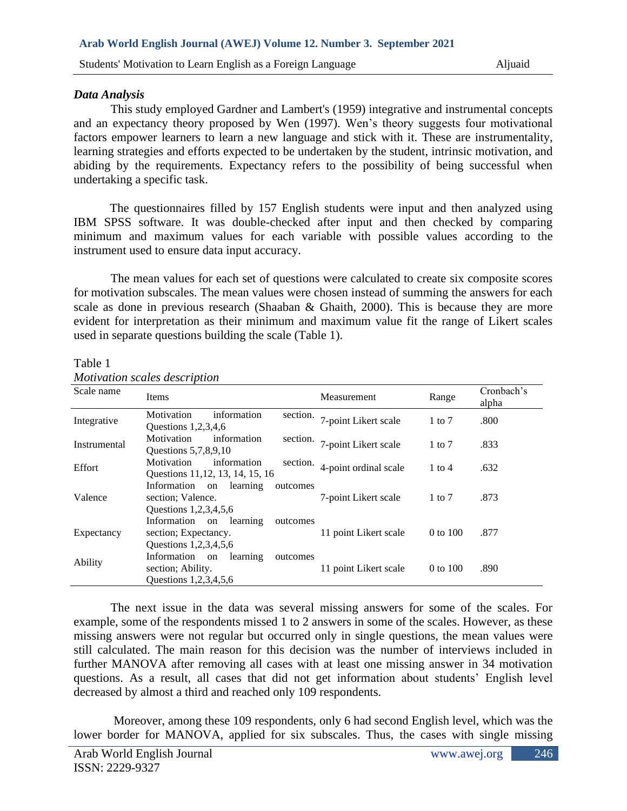### *Data Analysis*

This study employed Gardner and Lambert's (1959) integrative and instrumental concepts and an expectancy theory proposed by Wen (1997). Wen's theory suggests four motivational factors empower learners to learn a new language and stick with it. These are instrumentality, learning strategies and efforts expected to be undertaken by the student, intrinsic motivation, and abiding by the requirements. Expectancy refers to the possibility of being successful when undertaking a specific task.

The questionnaires filled by 157 English students were input and then analyzed using IBM SPSS software. It was double-checked after input and then checked by comparing minimum and maximum values for each variable with possible values according to the instrument used to ensure data input accuracy.

The mean values for each set of questions were calculated to create six composite scores for motivation subscales. The mean values were chosen instead of summing the answers for each scale as done in previous research (Shaaban & Ghaith, 2000). This is because they are more evident for interpretation as their minimum and maximum value fit the range of Likert scales used in separate questions building the scale (Table 1).

#### Table 1

| Scale name   | Items                                                                                   | Measurement           | Range      | Cronbach's<br>alpha |
|--------------|-----------------------------------------------------------------------------------------|-----------------------|------------|---------------------|
| Integrative  | information<br>Motivation<br>section.<br>Questions $1,2,3,4,6$                          | 7-point Likert scale  | $1$ to $7$ | .800                |
| Instrumental | Motivation<br>information<br>section.<br>Questions 5, 7, 8, 9, 10                       | 7-point Likert scale  | $1$ to $7$ | .833                |
| Effort       | Motivation<br>information<br>section.<br>Questions 11, 12, 13, 14, 15, 16               | 4-point ordinal scale | $1$ to $4$ | .632                |
| Valence      | Information on<br>learning<br>outcomes<br>section; Valence.<br>Questions 1,2,3,4,5,6    | 7-point Likert scale  | $1$ to $7$ | .873                |
| Expectancy   | Information on<br>learning<br>outcomes<br>section; Expectancy.<br>Questions 1,2,3,4,5,6 | 11 point Likert scale | 0 to 100   | .877                |
| Ability      | Information on<br>learning<br>outcomes<br>section; Ability.<br>Questions 1,2,3,4,5,6    | 11 point Likert scale | 0 to 100   | .890                |

*Motivation scales description*

The next issue in the data was several missing answers for some of the scales. For example, some of the respondents missed 1 to 2 answers in some of the scales. However, as these missing answers were not regular but occurred only in single questions, the mean values were still calculated. The main reason for this decision was the number of interviews included in further MANOVA after removing all cases with at least one missing answer in 34 motivation questions. As a result, all cases that did not get information about students' English level decreased by almost a third and reached only 109 respondents.

 Moreover, among these 109 respondents, only 6 had second English level, which was the lower border for MANOVA, applied for six subscales. Thus, the cases with single missing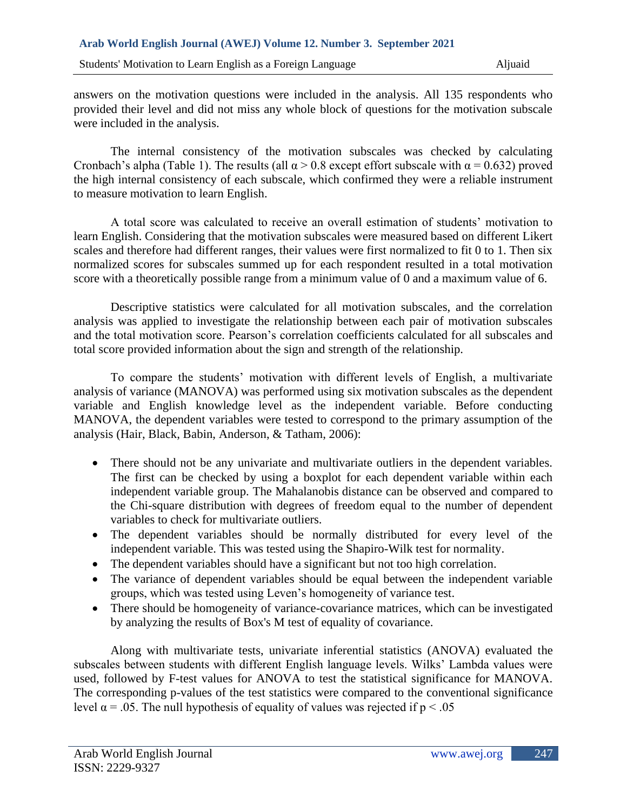answers on the motivation questions were included in the analysis. All 135 respondents who provided their level and did not miss any whole block of questions for the motivation subscale were included in the analysis.

The internal consistency of the motivation subscales was checked by calculating Cronbach's alpha (Table 1). The results (all  $\alpha > 0.8$  except effort subscale with  $\alpha = 0.632$ ) proved the high internal consistency of each subscale, which confirmed they were a reliable instrument to measure motivation to learn English.

A total score was calculated to receive an overall estimation of students' motivation to learn English. Considering that the motivation subscales were measured based on different Likert scales and therefore had different ranges, their values were first normalized to fit 0 to 1. Then six normalized scores for subscales summed up for each respondent resulted in a total motivation score with a theoretically possible range from a minimum value of 0 and a maximum value of 6.

Descriptive statistics were calculated for all motivation subscales, and the correlation analysis was applied to investigate the relationship between each pair of motivation subscales and the total motivation score. Pearson's correlation coefficients calculated for all subscales and total score provided information about the sign and strength of the relationship.

To compare the students' motivation with different levels of English, a multivariate analysis of variance (MANOVA) was performed using six motivation subscales as the dependent variable and English knowledge level as the independent variable. Before conducting MANOVA, the dependent variables were tested to correspond to the primary assumption of the analysis (Hair, Black, Babin, Anderson, & Tatham, 2006):

- There should not be any univariate and multivariate outliers in the dependent variables. The first can be checked by using a boxplot for each dependent variable within each independent variable group. The Mahalanobis distance can be observed and compared to the Chi-square distribution with degrees of freedom equal to the number of dependent variables to check for multivariate outliers.
- The dependent variables should be normally distributed for every level of the independent variable. This was tested using the Shapiro-Wilk test for normality.
- The dependent variables should have a significant but not too high correlation.
- The variance of dependent variables should be equal between the independent variable groups, which was tested using Leven's homogeneity of variance test.
- There should be homogeneity of variance-covariance matrices, which can be investigated by analyzing the results of Box's M test of equality of covariance.

Along with multivariate tests, univariate inferential statistics (ANOVA) evaluated the subscales between students with different English language levels. Wilks' Lambda values were used, followed by F-test values for ANOVA to test the statistical significance for MANOVA. The corresponding p-values of the test statistics were compared to the conventional significance level  $\alpha$  = .05. The null hypothesis of equality of values was rejected if p < .05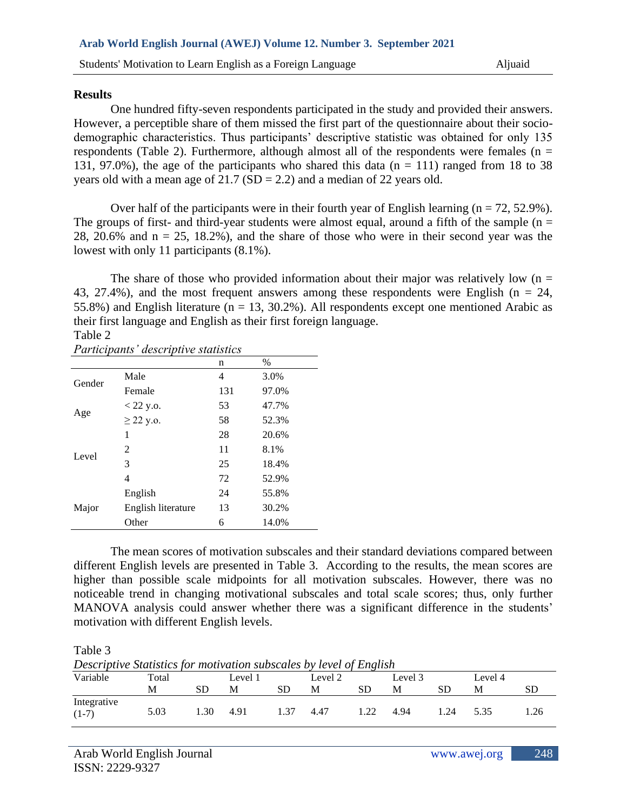#### **Results**

One hundred fifty-seven respondents participated in the study and provided their answers. However, a perceptible share of them missed the first part of the questionnaire about their sociodemographic characteristics. Thus participants' descriptive statistic was obtained for only 135 respondents (Table 2). Furthermore, although almost all of the respondents were females ( $n =$ 131, 97.0%), the age of the participants who shared this data ( $n = 111$ ) ranged from 18 to 38 years old with a mean age of  $21.7$  (SD = 2.2) and a median of 22 years old.

Over half of the participants were in their fourth year of English learning  $(n = 72, 52.9\%)$ . The groups of first- and third-year students were almost equal, around a fifth of the sample ( $n =$ 28, 20.6% and  $n = 25$ , 18.2%), and the share of those who were in their second year was the lowest with only 11 participants (8.1%).

The share of those who provided information about their major was relatively low  $(n =$ 43, 27.4%), and the most frequent answers among these respondents were English ( $n = 24$ , 55.8%) and English literature ( $n = 13, 30.2$ %). All respondents except one mentioned Arabic as their first language and English as their first foreign language. Table 2

| Participants' descriptive statistics |                    |     |       |  |  |  |  |
|--------------------------------------|--------------------|-----|-------|--|--|--|--|
|                                      |                    | n   | $\%$  |  |  |  |  |
| Gender                               | Male               | 4   | 3.0%  |  |  |  |  |
|                                      | Female             | 131 | 97.0% |  |  |  |  |
| Age                                  | $<$ 22 y.o.        | 53  | 47.7% |  |  |  |  |
|                                      | $\geq$ 22 y.o.     | 58  | 52.3% |  |  |  |  |
|                                      | 1                  | 28  | 20.6% |  |  |  |  |
| Level                                | 2                  | 11  | 8.1%  |  |  |  |  |
|                                      | 3                  | 25  | 18.4% |  |  |  |  |
|                                      | 4                  | 72  | 52.9% |  |  |  |  |
|                                      | English            | 24  | 55.8% |  |  |  |  |
| Major                                | English literature | 13  | 30.2% |  |  |  |  |
|                                      | Other              | 6   | 14.0% |  |  |  |  |

The mean scores of motivation subscales and their standard deviations compared between different English levels are presented in Table 3. According to the results, the mean scores are higher than possible scale midpoints for all motivation subscales. However, there was no noticeable trend in changing motivational subscales and total scale scores; thus, only further MANOVA analysis could answer whether there was a significant difference in the students' motivation with different English levels.

Table 3

*Descriptive Statistics for motivation subscales by level of English*

| Variable               | Total<br>М | SD  | Level 1<br>M | SD   | Level 2<br>М | <b>SD</b> | Level 3<br>M | SD   | Level 4<br>M | SD   |
|------------------------|------------|-----|--------------|------|--------------|-----------|--------------|------|--------------|------|
| Integrative<br>$(1-7)$ | 5.03       | .30 | 4.91         | 1.37 | 4.47         | .22       | 4.94         | 1.24 | 5.35         | . 26 |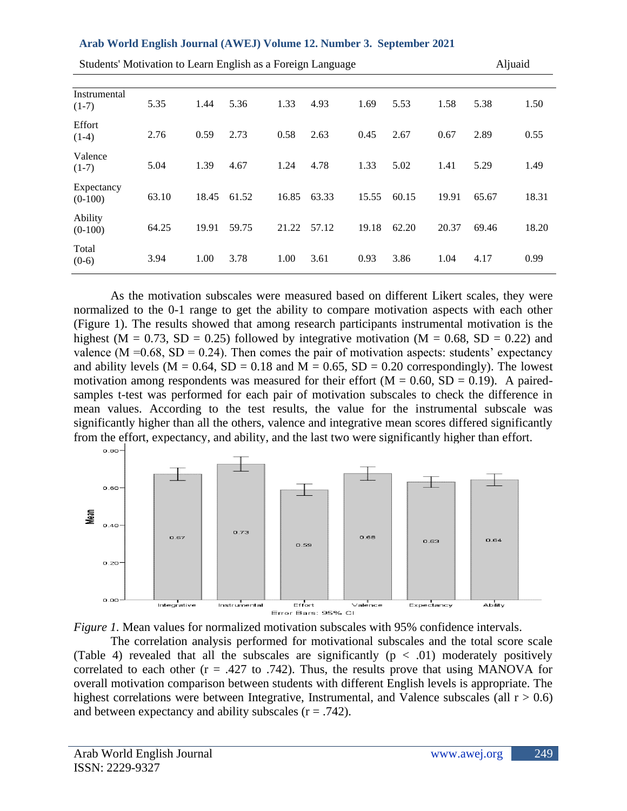|  |  |  |  |  |  | Arab World English Journal (AWEJ) Volume 12. Number 3. September 2021 |
|--|--|--|--|--|--|-----------------------------------------------------------------------|
|--|--|--|--|--|--|-----------------------------------------------------------------------|

| Students' Motivation to Learn English as a Foreign Language |       |       |       |       |       |       |       |       | Aljuaid |       |
|-------------------------------------------------------------|-------|-------|-------|-------|-------|-------|-------|-------|---------|-------|
| Instrumental<br>$(1-7)$                                     | 5.35  | 1.44  | 5.36  | 1.33  | 4.93  | 1.69  | 5.53  | 1.58  | 5.38    | 1.50  |
| Effort<br>$(1-4)$                                           | 2.76  | 0.59  | 2.73  | 0.58  | 2.63  | 0.45  | 2.67  | 0.67  | 2.89    | 0.55  |
| Valence<br>$(1-7)$                                          | 5.04  | 1.39  | 4.67  | 1.24  | 4.78  | 1.33  | 5.02  | 1.41  | 5.29    | 1.49  |
| Expectancy<br>$(0-100)$                                     | 63.10 | 18.45 | 61.52 | 16.85 | 63.33 | 15.55 | 60.15 | 19.91 | 65.67   | 18.31 |
| Ability<br>$(0-100)$                                        | 64.25 | 19.91 | 59.75 | 21.22 | 57.12 | 19.18 | 62.20 | 20.37 | 69.46   | 18.20 |
| Total<br>$(0-6)$                                            | 3.94  | 1.00  | 3.78  | 1.00  | 3.61  | 0.93  | 3.86  | 1.04  | 4.17    | 0.99  |

As the motivation subscales were measured based on different Likert scales, they were normalized to the 0-1 range to get the ability to compare motivation aspects with each other (Figure 1). The results showed that among research participants instrumental motivation is the highest ( $M = 0.73$ ,  $SD = 0.25$ ) followed by integrative motivation ( $M = 0.68$ ,  $SD = 0.22$ ) and valence ( $M = 0.68$ ,  $SD = 0.24$ ). Then comes the pair of motivation aspects: students' expectancy and ability levels ( $M = 0.64$ ,  $SD = 0.18$  and  $M = 0.65$ ,  $SD = 0.20$  correspondingly). The lowest motivation among respondents was measured for their effort  $(M = 0.60, SD = 0.19)$ . A pairedsamples t-test was performed for each pair of motivation subscales to check the difference in mean values. According to the test results, the value for the instrumental subscale was significantly higher than all the others, valence and integrative mean scores differed significantly from the effort, expectancy, and ability, and the last two were significantly higher than effort.





The correlation analysis performed for motivational subscales and the total score scale (Table 4) revealed that all the subscales are significantly  $(p < .01)$  moderately positively correlated to each other  $(r = .427 \text{ to } .742)$ . Thus, the results prove that using MANOVA for overall motivation comparison between students with different English levels is appropriate. The highest correlations were between Integrative, Instrumental, and Valence subscales (all  $r > 0.6$ ) and between expectancy and ability subscales  $(r = .742)$ .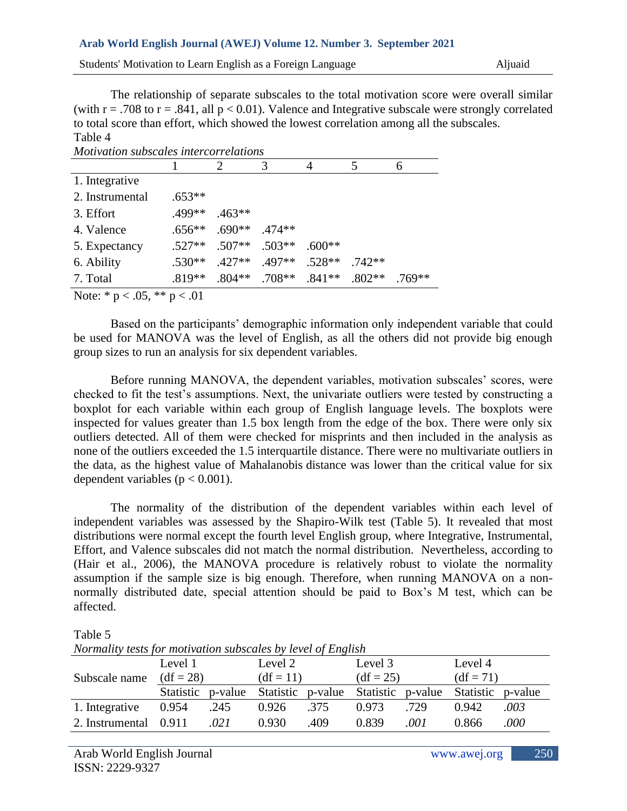Students' Motivation to Learn English as a Foreign Language Aljuaid

The relationship of separate subscales to the total motivation score were overall similar (with  $r = .708$  to  $r = .841$ , all  $p < 0.01$ ). Valence and Integrative subscale were strongly correlated to total score than effort, which showed the lowest correlation among all the subscales. Table 4

*Motivation subscales intercorrelations*

| 1. Integrative  |          |                   |                                   |          |       |        |
|-----------------|----------|-------------------|-----------------------------------|----------|-------|--------|
| 2. Instrumental | $.653**$ |                   |                                   |          |       |        |
| 3. Effort       | .499**   | $.463**$          |                                   |          |       |        |
| 4. Valence      | $.656**$ | $.690**$ $.474**$ |                                   |          |       |        |
| 5. Expectancy   | $.527**$ | $.507**$ .503**   |                                   | $.600**$ |       |        |
| 6. Ability      | $.530**$ | $.427**$          | .497**                            | $.528**$ | 742** |        |
| 7. Total        | $.819**$ |                   | $.804***$ . 708** . 841** . 802** |          |       | .769** |
|                 |          |                   |                                   |          |       |        |

Note:  $* p < .05$ ,  $** p < .01$ 

Based on the participants' demographic information only independent variable that could be used for MANOVA was the level of English, as all the others did not provide big enough group sizes to run an analysis for six dependent variables.

Before running MANOVA, the dependent variables, motivation subscales' scores, were checked to fit the test's assumptions. Next, the univariate outliers were tested by constructing a boxplot for each variable within each group of English language levels. The boxplots were inspected for values greater than 1.5 box length from the edge of the box. There were only six outliers detected. All of them were checked for misprints and then included in the analysis as none of the outliers exceeded the 1.5 interquartile distance. There were no multivariate outliers in the data, as the highest value of Mahalanobis distance was lower than the critical value for six dependent variables ( $p < 0.001$ ).

The normality of the distribution of the dependent variables within each level of independent variables was assessed by the Shapiro-Wilk test (Table 5). It revealed that most distributions were normal except the fourth level English group, where Integrative, Instrumental, Effort, and Valence subscales did not match the normal distribution. Nevertheless, according to (Hair et al., 2006), the MANOVA procedure is relatively robust to violate the normality assumption if the sample size is big enough. Therefore, when running MANOVA on a nonnormally distributed date, special attention should be paid to Box's M test, which can be affected.

Table 5

| <i>NOTMAILLY LESIS for Motivation subscales by level of English</i> |                   |      |                   |      |             |         |                   |      |  |
|---------------------------------------------------------------------|-------------------|------|-------------------|------|-------------|---------|-------------------|------|--|
|                                                                     | Level 1           |      | Level 2           |      | Level 3     |         | Level 4           |      |  |
| Subscale name                                                       | $(df = 28)$       |      | $(df = 11)$       |      | $(df = 25)$ |         | $(df = 71)$       |      |  |
|                                                                     | Statistic p-value |      | Statistic p-value |      | Statistic   | p-value | Statistic p-value |      |  |
| 1. Integrative                                                      | 0.954             | .245 | 0.926             | .375 | 0.973       | .729    | 0.942             | .003 |  |
| 2. Instrumental 0.911                                               |                   | .021 | 0.930             | .409 | 0.839       | .001    | 0.866             | .000 |  |

*Normality tests for motivation subscales by level of English*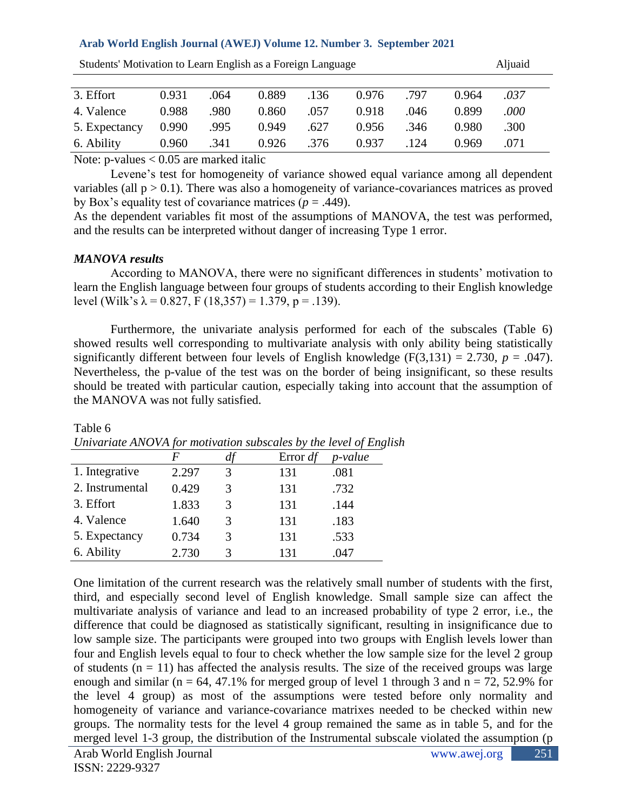| Students' Motivation to Learn English as a Foreign Language |       | Aljuaid |       |      |       |      |       |          |  |
|-------------------------------------------------------------|-------|---------|-------|------|-------|------|-------|----------|--|
|                                                             |       |         |       |      |       |      |       |          |  |
| 3. Effort                                                   | 0.931 | .064    | 0.889 | .136 | 0.976 | .797 | 0.964 | .037     |  |
| 4. Valence                                                  | 0.988 | .980    | 0.860 | .057 | 0.918 | .046 | 0.899 | $.000\,$ |  |
| 5. Expectancy                                               | 0.990 | .995    | 0.949 | .627 | 0.956 | .346 | 0.980 | .300     |  |
| 6. Ability                                                  | 0.960 | .341    | 0.926 | .376 | 0.937 | .124 | 0.969 | .071     |  |

 $S_{\text{L}}$  Motivation to Learn English as a Foreign Language Aljuaid Aljuaid Aljuaid Aljuaid Aljuaid Aljuaid Aljuaid Aljuaid Aljuaid Aljuaid Aljuaid Aljuaid Aljuaid Aljuaid Aljuaid Aljuaid Aljuaid Aljuaid Aljuaid Aljuaid A

Note:  $p$ -values  $< 0.05$  are marked italic

Levene's test for homogeneity of variance showed equal variance among all dependent variables (all  $p > 0.1$ ). There was also a homogeneity of variance-covariances matrices as proved by Box's equality test of covariance matrices  $(p = .449)$ .

As the dependent variables fit most of the assumptions of MANOVA, the test was performed, and the results can be interpreted without danger of increasing Type 1 error.

## *MANOVA results*

According to MANOVA, there were no significant differences in students' motivation to learn the English language between four groups of students according to their English knowledge level (Wilk's  $\lambda = 0.827$ , F (18,357) = 1.379, p = .139).

Furthermore, the univariate analysis performed for each of the subscales (Table 6) showed results well corresponding to multivariate analysis with only ability being statistically significantly different between four levels of English knowledge ( $F(3,131) = 2.730$ ,  $p = .047$ ). Nevertheless, the p-value of the test was on the border of being insignificant, so these results should be treated with particular caution, especially taking into account that the assumption of the MANOVA was not fully satisfied.

|                 |       |   | Error $df$ | p-value |
|-----------------|-------|---|------------|---------|
| 1. Integrative  | 2.297 |   | 131        | .081    |
| 2. Instrumental | 0.429 | 3 | 131        | .732    |
| 3. Effort       | 1.833 | 3 | 131        | .144    |
| 4. Valence      | 1.640 | 3 | 131        | .183    |
| 5. Expectancy   | 0.734 | 3 | 131        | .533    |
| 6. Ability      | 2.730 |   | 131        | .047    |

Table 6 *Univariate ANOVA for motivation subscales by the level of English*

One limitation of the current research was the relatively small number of students with the first, third, and especially second level of English knowledge. Small sample size can affect the multivariate analysis of variance and lead to an increased probability of type 2 error, i.e., the difference that could be diagnosed as statistically significant, resulting in insignificance due to low sample size. The participants were grouped into two groups with English levels lower than four and English levels equal to four to check whether the low sample size for the level 2 group of students  $(n = 11)$  has affected the analysis results. The size of the received groups was large enough and similar (n = 64, 47.1% for merged group of level 1 through 3 and  $n = 72$ , 52.9% for the level 4 group) as most of the assumptions were tested before only normality and homogeneity of variance and variance-covariance matrixes needed to be checked within new groups. The normality tests for the level 4 group remained the same as in table 5, and for the merged level 1-3 group, the distribution of the Instrumental subscale violated the assumption (p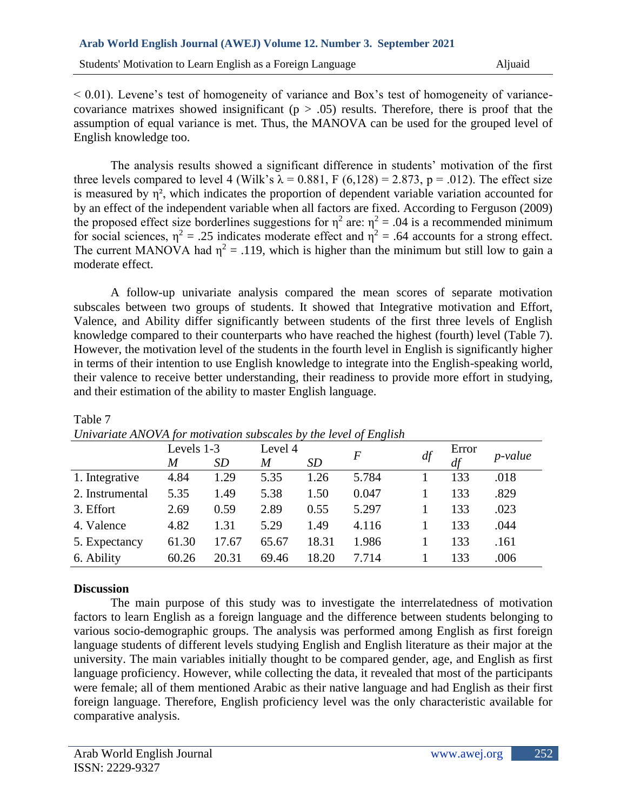$< 0.01$ ). Levene's test of homogeneity of variance and Box's test of homogeneity of variancecovariance matrixes showed insignificant ( $p > .05$ ) results. Therefore, there is proof that the assumption of equal variance is met. Thus, the MANOVA can be used for the grouped level of English knowledge too.

The analysis results showed a significant difference in students' motivation of the first three levels compared to level 4 (Wilk's  $\lambda = 0.881$ , F (6,128) = 2.873, p = .012). The effect size is measured by  $\eta^2$ , which indicates the proportion of dependent variable variation accounted for by an effect of the independent variable when all factors are fixed. According to Ferguson (2009) the proposed effect size borderlines suggestions for  $\eta^2$  are:  $\eta^2 = .04$  is a recommended minimum for social sciences,  $\eta^2 = .25$  indicates moderate effect and  $\eta^2 = .64$  accounts for a strong effect. The current MANOVA had  $\eta^2 = .119$ , which is higher than the minimum but still low to gain a moderate effect.

A follow-up univariate analysis compared the mean scores of separate motivation subscales between two groups of students. It showed that Integrative motivation and Effort, Valence, and Ability differ significantly between students of the first three levels of English knowledge compared to their counterparts who have reached the highest (fourth) level (Table 7). However, the motivation level of the students in the fourth level in English is significantly higher in terms of their intention to use English knowledge to integrate into the English-speaking world, their valence to receive better understanding, their readiness to provide more effort in studying, and their estimation of the ability to master English language.

|                 | Levels 1-3 |           | Level 4 | $\boldsymbol{F}$ |       |    | Error | p-value |
|-----------------|------------|-----------|---------|------------------|-------|----|-------|---------|
|                 | M          | <i>SD</i> | M       | <i>SD</i>        |       | df | df    |         |
| 1. Integrative  | 4.84       | 1.29      | 5.35    | 1.26             | 5.784 |    | 133   | .018    |
| 2. Instrumental | 5.35       | 1.49      | 5.38    | 1.50             | 0.047 |    | 133   | .829    |
| 3. Effort       | 2.69       | 0.59      | 2.89    | 0.55             | 5.297 |    | 133   | .023    |
| 4. Valence      | 4.82       | 1.31      | 5.29    | 1.49             | 4.116 |    | 133   | .044    |
| 5. Expectancy   | 61.30      | 17.67     | 65.67   | 18.31            | 1.986 |    | 133   | .161    |
| 6. Ability      | 60.26      | 20.31     | 69.46   | 18.20            | 7.714 |    | 133   | .006    |

#### Table 7 *Univariate ANOVA for motivation subscales by the level of English*

# **Discussion**

The main purpose of this study was to investigate the interrelatedness of motivation factors to learn English as a foreign language and the difference between students belonging to various socio-demographic groups. The analysis was performed among English as first foreign language students of different levels studying English and English literature as their major at the university. The main variables initially thought to be compared gender, age, and English as first language proficiency. However, while collecting the data, it revealed that most of the participants were female; all of them mentioned Arabic as their native language and had English as their first foreign language. Therefore, English proficiency level was the only characteristic available for comparative analysis.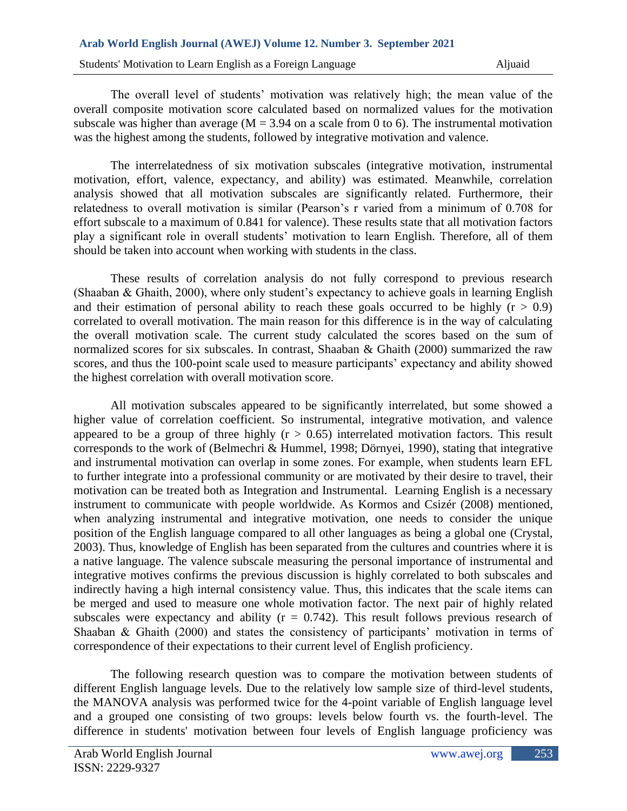Students' Motivation to Learn English as a Foreign Language Aljuaid

The overall level of students' motivation was relatively high; the mean value of the overall composite motivation score calculated based on normalized values for the motivation subscale was higher than average ( $M = 3.94$  on a scale from 0 to 6). The instrumental motivation was the highest among the students, followed by integrative motivation and valence.

The interrelatedness of six motivation subscales (integrative motivation, instrumental motivation, effort, valence, expectancy, and ability) was estimated. Meanwhile, correlation analysis showed that all motivation subscales are significantly related. Furthermore, their relatedness to overall motivation is similar (Pearson's r varied from a minimum of 0.708 for effort subscale to a maximum of 0.841 for valence). These results state that all motivation factors play a significant role in overall students' motivation to learn English. Therefore, all of them should be taken into account when working with students in the class.

These results of correlation analysis do not fully correspond to previous research (Shaaban & Ghaith, 2000), where only student's expectancy to achieve goals in learning English and their estimation of personal ability to reach these goals occurred to be highly  $(r > 0.9)$ correlated to overall motivation. The main reason for this difference is in the way of calculating the overall motivation scale. The current study calculated the scores based on the sum of normalized scores for six subscales. In contrast, Shaaban & Ghaith (2000) summarized the raw scores, and thus the 100-point scale used to measure participants' expectancy and ability showed the highest correlation with overall motivation score.

All motivation subscales appeared to be significantly interrelated, but some showed a higher value of correlation coefficient. So instrumental, integrative motivation, and valence appeared to be a group of three highly  $(r > 0.65)$  interrelated motivation factors. This result corresponds to the work of (Belmechri & Hummel, 1998; Dörnyei, 1990), stating that integrative and instrumental motivation can overlap in some zones. For example, when students learn EFL to further integrate into a professional community or are motivated by their desire to travel, their motivation can be treated both as Integration and Instrumental. Learning English is a necessary instrument to communicate with people worldwide. As Kormos and Csizér (2008) mentioned, when analyzing instrumental and integrative motivation, one needs to consider the unique position of the English language compared to all other languages as being a global one (Crystal, 2003). Thus, knowledge of English has been separated from the cultures and countries where it is a native language. The valence subscale measuring the personal importance of instrumental and integrative motives confirms the previous discussion is highly correlated to both subscales and indirectly having a high internal consistency value. Thus, this indicates that the scale items can be merged and used to measure one whole motivation factor. The next pair of highly related subscales were expectancy and ability ( $r = 0.742$ ). This result follows previous research of Shaaban & Ghaith (2000) and states the consistency of participants' motivation in terms of correspondence of their expectations to their current level of English proficiency.

The following research question was to compare the motivation between students of different English language levels. Due to the relatively low sample size of third-level students, the MANOVA analysis was performed twice for the 4-point variable of English language level and a grouped one consisting of two groups: levels below fourth vs. the fourth-level. The difference in students' motivation between four levels of English language proficiency was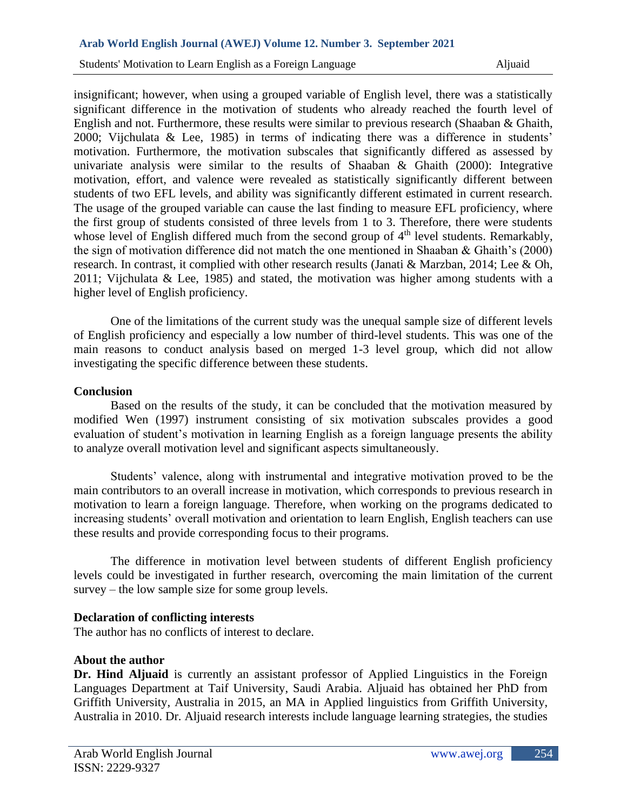insignificant; however, when using a grouped variable of English level, there was a statistically significant difference in the motivation of students who already reached the fourth level of English and not. Furthermore, these results were similar to previous research (Shaaban & Ghaith, 2000; Vijchulata & Lee, 1985) in terms of indicating there was a difference in students' motivation. Furthermore, the motivation subscales that significantly differed as assessed by univariate analysis were similar to the results of Shaaban & Ghaith (2000): Integrative motivation, effort, and valence were revealed as statistically significantly different between students of two EFL levels, and ability was significantly different estimated in current research. The usage of the grouped variable can cause the last finding to measure EFL proficiency, where the first group of students consisted of three levels from 1 to 3. Therefore, there were students whose level of English differed much from the second group of 4<sup>th</sup> level students. Remarkably, the sign of motivation difference did not match the one mentioned in Shaaban & Ghaith's (2000) research. In contrast, it complied with other research results (Janati & Marzban, 2014; Lee & Oh, 2011; Vijchulata & Lee, 1985) and stated, the motivation was higher among students with a higher level of English proficiency.

One of the limitations of the current study was the unequal sample size of different levels of English proficiency and especially a low number of third-level students. This was one of the main reasons to conduct analysis based on merged 1-3 level group, which did not allow investigating the specific difference between these students.

### **Conclusion**

Based on the results of the study, it can be concluded that the motivation measured by modified Wen (1997) instrument consisting of six motivation subscales provides a good evaluation of student's motivation in learning English as a foreign language presents the ability to analyze overall motivation level and significant aspects simultaneously.

Students' valence, along with instrumental and integrative motivation proved to be the main contributors to an overall increase in motivation, which corresponds to previous research in motivation to learn a foreign language. Therefore, when working on the programs dedicated to increasing students' overall motivation and orientation to learn English, English teachers can use these results and provide corresponding focus to their programs.

The difference in motivation level between students of different English proficiency levels could be investigated in further research, overcoming the main limitation of the current survey – the low sample size for some group levels.

### **Declaration of conflicting interests**

The author has no conflicts of interest to declare.

### **About the author**

**Dr. Hind Aljuaid** is currently an assistant professor of Applied Linguistics in the Foreign Languages Department at Taif University, Saudi Arabia. Aljuaid has obtained her PhD from Griffith University, Australia in 2015, an MA in Applied linguistics from Griffith University, Australia in 2010. Dr. Aljuaid research interests include language learning strategies, the studies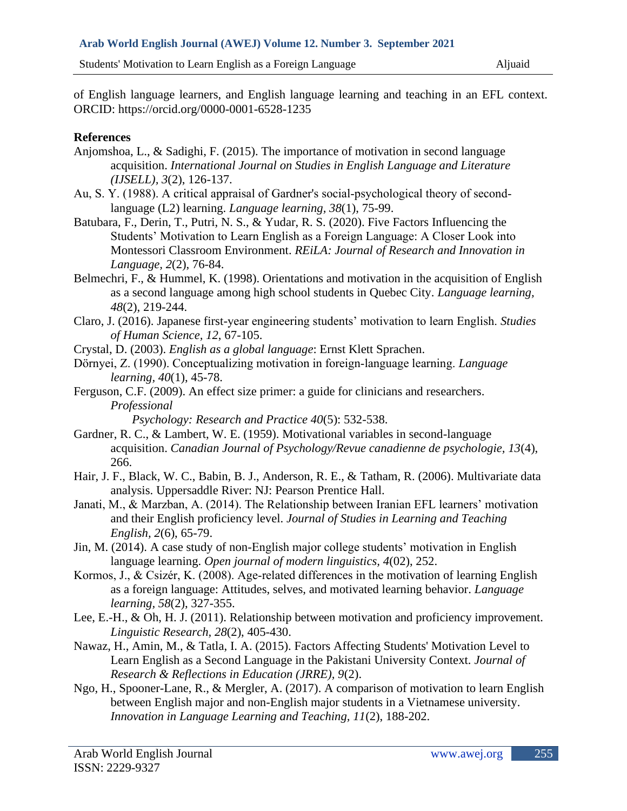of English language learners, and English language learning and teaching in an EFL context. ORCID: [https://orcid.org/0000-0001-6528-1235](https://emea01.safelinks.protection.outlook.com/?url=https%3A%2F%2Forcid.org%2F0000-0001-6528-1235&data=04%7C01%7C%7C16d073ac5f0a4d2ffbd008d8fcd0fa75%7C84df9e7fe9f640afb435aaaaaaaaaaaa%7C1%7C0%7C637537321763171494%7CUnknown%7CTWFpbGZsb3d8eyJWIjoiMC4wLjAwMDAiLCJQIjoiV2luMzIiLCJBTiI6Ik1haWwiLCJXVCI6Mn0%3D%7C1000&sdata=%2F2PK8vIoP2e9kseWAEDvCt0RbwMH8%2FDIoSye%2FnLlD7I%3D&reserved=0)

# **References**

- Anjomshoa, L., & Sadighi, F. (2015). The importance of motivation in second language acquisition. *International Journal on Studies in English Language and Literature (IJSELL), 3*(2), 126-137.
- Au, S. Y. (1988). A critical appraisal of Gardner's social-psychological theory of secondlanguage (L2) learning. *Language learning, 38*(1), 75-99.
- Batubara, F., Derin, T., Putri, N. S., & Yudar, R. S. (2020). Five Factors Influencing the Students' Motivation to Learn English as a Foreign Language: A Closer Look into Montessori Classroom Environment. *REiLA: Journal of Research and Innovation in Language, 2*(2), 76-84.
- Belmechri, F., & Hummel, K. (1998). Orientations and motivation in the acquisition of English as a second language among high school students in Quebec City. *Language learning, 48*(2), 219-244.
- Claro, J. (2016). Japanese first-year engineering students' motivation to learn English. *Studies of Human Science, 12*, 67-105.
- Crystal, D. (2003). *English as a global language*: Ernst Klett Sprachen.
- Dörnyei, Z. (1990). Conceptualizing motivation in foreign‐language learning. *Language learning, 40*(1), 45-78.
- Ferguson, C.F. (2009). An effect size primer: a guide for clinicians and researchers. *Professional* 
	- *Psychology: Research and Practice 40*(5): 532-538.
- Gardner, R. C., & Lambert, W. E. (1959). Motivational variables in second-language acquisition. *Canadian Journal of Psychology/Revue canadienne de psychologie, 13*(4), 266.
- Hair, J. F., Black, W. C., Babin, B. J., Anderson, R. E., & Tatham, R. (2006). Multivariate data analysis. Uppersaddle River: NJ: Pearson Prentice Hall.
- Janati, M., & Marzban, A. (2014). The Relationship between Iranian EFL learners' motivation and their English proficiency level. *Journal of Studies in Learning and Teaching English, 2*(6), 65-79.
- Jin, M. (2014). A case study of non-English major college students' motivation in English language learning. *Open journal of modern linguistics, 4*(02), 252.
- Kormos, J., & Csizér, K. (2008). Age-related differences in the motivation of learning English as a foreign language: Attitudes, selves, and motivated learning behavior. *Language learning, 58*(2), 327-355.
- Lee, E.-H., & Oh, H. J. (2011). Relationship between motivation and proficiency improvement. *Linguistic Research, 28*(2), 405-430.
- Nawaz, H., Amin, M., & Tatla, I. A. (2015). Factors Affecting Students' Motivation Level to Learn English as a Second Language in the Pakistani University Context. *Journal of Research & Reflections in Education (JRRE), 9*(2).
- Ngo, H., Spooner-Lane, R., & Mergler, A. (2017). A comparison of motivation to learn English between English major and non-English major students in a Vietnamese university. *Innovation in Language Learning and Teaching, 11*(2), 188-202.